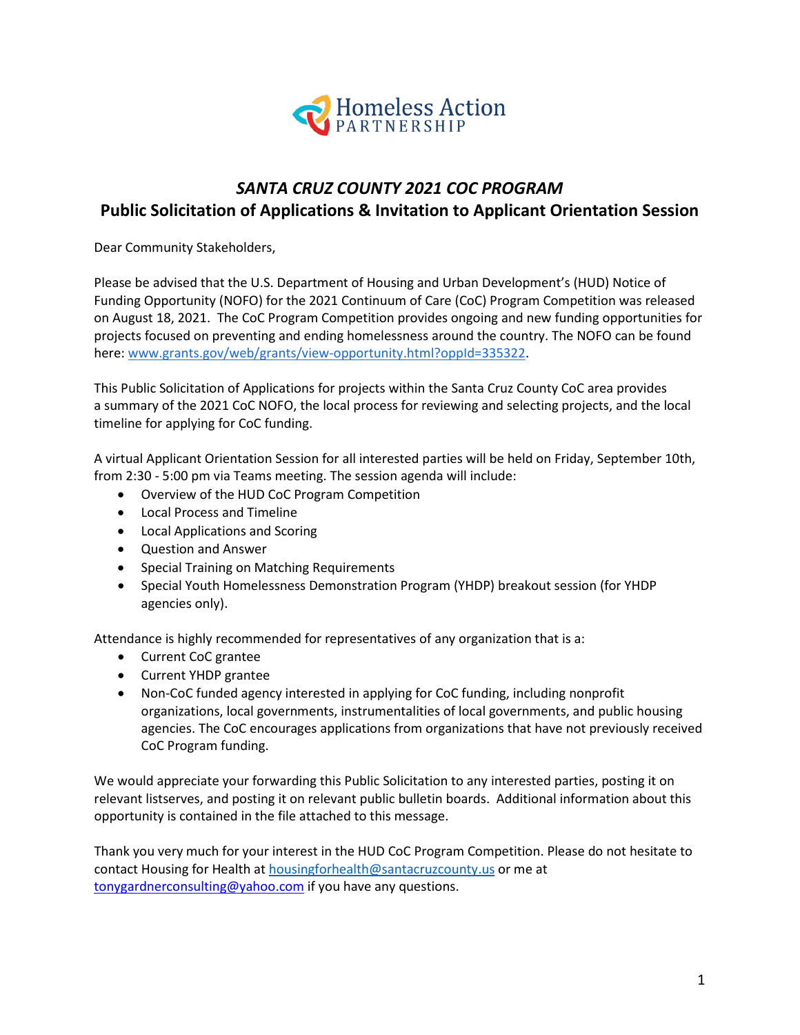

# *SANTA CRUZ COUNTY 2021 COC PROGRAM* **Public Solicitation of Applications & Invitation to Applicant Orientation Session**

Dear Community Stakeholders,

Please be advised that the U.S. Department of Housing and Urban Development's (HUD) Notice of Funding Opportunity (NOFO) for the 2021 Continuum of Care (CoC) Program Competition [was released](https://www.hudexchange.info/programs/e-snaps/fy-2021-coc-program-nofa-coc-program-competition/)  on [August 18, 2021.](https://www.hudexchange.info/programs/e-snaps/fy-2021-coc-program-nofa-coc-program-competition/) The CoC Program Competition provides ongoing and new funding opportunities for projects focused on preventing and ending homelessness around the country. The NOFO can be found here: [www.grants.gov/web/grants/view-opportunity.html?oppId=335322.](https://www.grants.gov/web/grants/view-opportunity.html?oppId=335322)

This Public Solicitation of Applications for projects within the Santa Cruz County CoC area provides a summary of the 2021 CoC NOFO, the local process for reviewing and selecting projects, and the local timeline for applying for CoC funding.

A virtual Applicant Orientation Session for all interested parties will be held on Friday, September 10th, from 2:30 - 5:00 pm via Teams meeting. The session agenda will include:

- Overview of the HUD CoC Program Competition
- Local Process and Timeline
- Local Applications and Scoring
- Question and Answer
- Special Training on Matching Requirements
- Special Youth Homelessness Demonstration Program (YHDP) breakout session (for YHDP agencies only).

Attendance is highly recommended for representatives of any organization that is a:

- Current CoC grantee
- Current YHDP grantee
- Non-CoC funded agency interested in applying for CoC funding, including nonprofit organizations, local governments, instrumentalities of local governments, and public housing agencies. The CoC encourages applications from organizations that have not previously received CoC Program funding.

We would appreciate your forwarding this Public Solicitation to any interested parties, posting it on relevant listserves, and posting it on relevant public bulletin boards. Additional information about this opportunity is contained in the file attached to this message.

Thank you very much for your interest in the HUD CoC Program Competition. Please do not hesitate to contact Housing for Health a[t housingforhealth@santacruzcounty.us](mailto:housingforhealth@santacruzcounty.us) or me at [tonygardnerconsulting@yahoo.com](mailto:tonygardnerconsulting@yahoo.com) if you have any questions.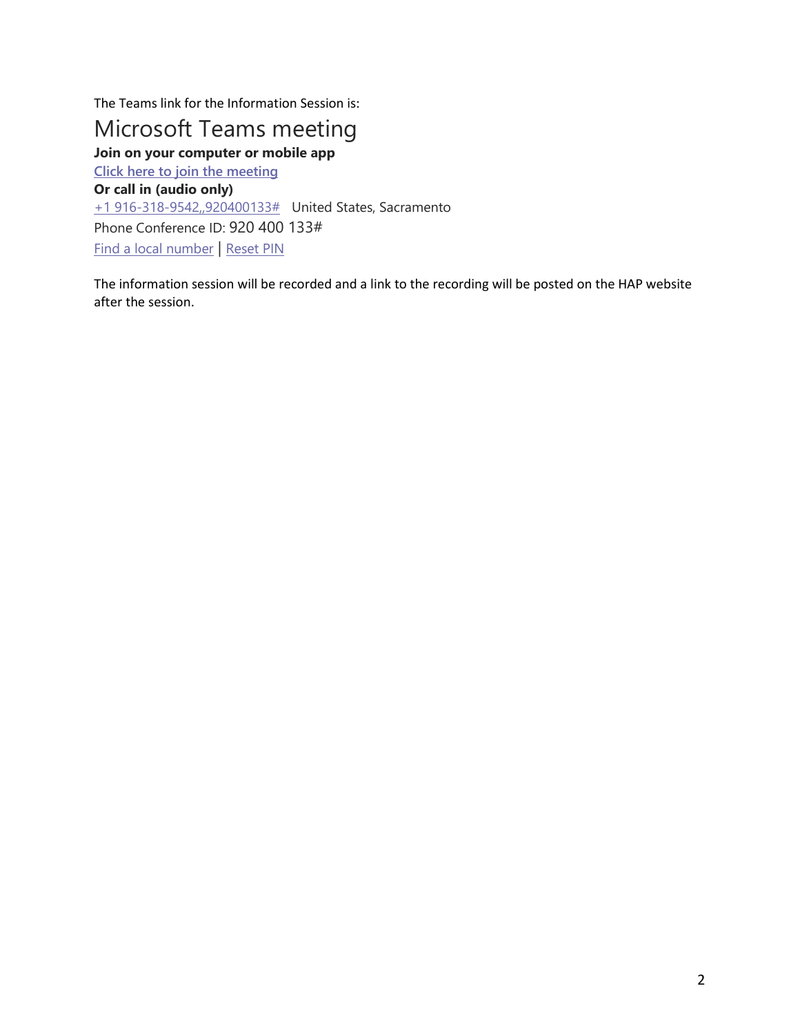The Teams link for the Information Session is:

# Microsoft Teams meeting

**Join on your computer or mobile app [Click here to join the meeting](https://teams.microsoft.com/l/meetup-join/19%3ameeting_ZDg1NDFlMzQtNGNkNy00OTg0LTkxMTYtYTY1MTJlNDMyNWI4%40thread.v2/0?context=%7b%22Tid%22%3a%2252044d34-04cb-41a4-a0cd-54ae6eeffb9f%22%2c%22Oid%22%3a%225b454d53-e4ae-452c-baa2-149009ab143a%22%7d) Or call in (audio only)** [+1 916-318-9542,,920400133#](tel:+19163189542,,920400133#%20) United States, Sacramento Phone Conference ID: 920 400 133# [Find a local number](https://dialin.teams.microsoft.com/15e6754c-2a85-4415-879d-8476e4fc5c0e?id=920400133) | [Reset PIN](https://mysettings.lync.com/pstnconferencing)

The information session will be recorded and a link to the recording will be posted on the HAP website after the session.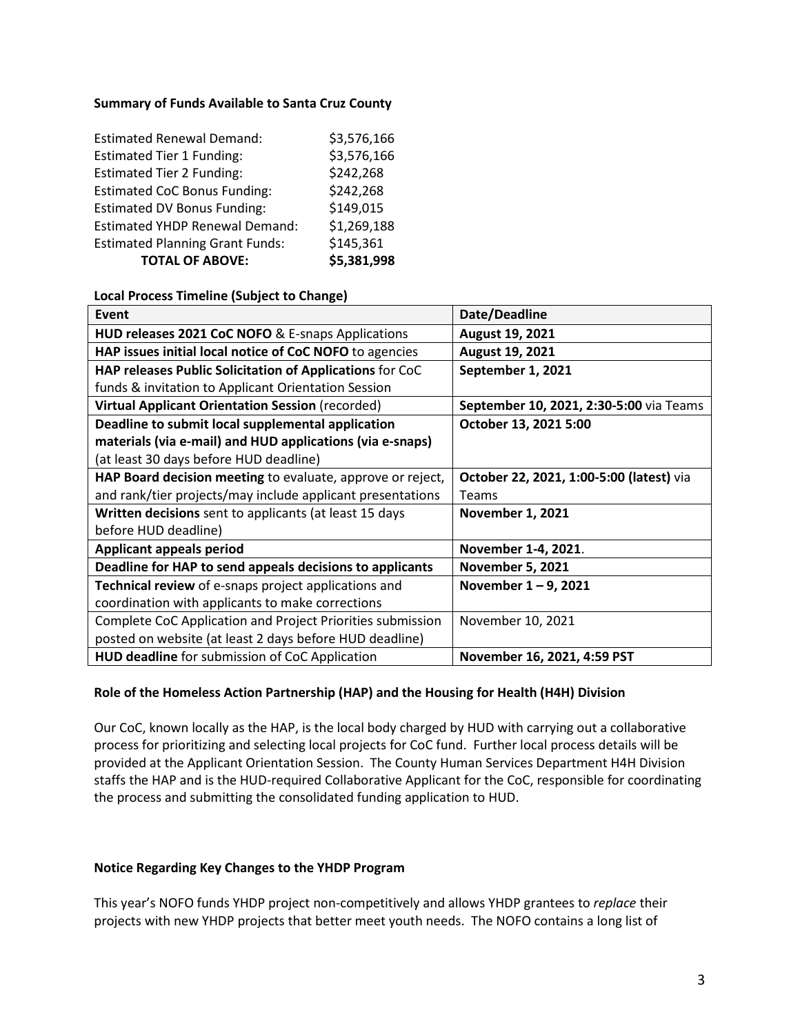#### **Summary of Funds Available to Santa Cruz County**

| <b>Estimated Renewal Demand:</b>       | \$3,576,166 |  |  |
|----------------------------------------|-------------|--|--|
| <b>Estimated Tier 1 Funding:</b>       | \$3,576,166 |  |  |
| <b>Estimated Tier 2 Funding:</b>       | \$242,268   |  |  |
| <b>Estimated CoC Bonus Funding:</b>    | \$242,268   |  |  |
| <b>Estimated DV Bonus Funding:</b>     | \$149,015   |  |  |
| <b>Estimated YHDP Renewal Demand:</b>  | \$1,269,188 |  |  |
| <b>Estimated Planning Grant Funds:</b> | \$145,361   |  |  |
| <b>TOTAL OF ABOVE:</b>                 | \$5,381,998 |  |  |

#### **Local Process Timeline (Subject to Change)**

| Event                                                      | Date/Deadline                            |
|------------------------------------------------------------|------------------------------------------|
| HUD releases 2021 CoC NOFO & E-snaps Applications          | August 19, 2021                          |
| HAP issues initial local notice of CoC NOFO to agencies    | August 19, 2021                          |
| HAP releases Public Solicitation of Applications for CoC   | September 1, 2021                        |
| funds & invitation to Applicant Orientation Session        |                                          |
| <b>Virtual Applicant Orientation Session (recorded)</b>    | September 10, 2021, 2:30-5:00 via Teams  |
| Deadline to submit local supplemental application          | October 13, 2021 5:00                    |
| materials (via e-mail) and HUD applications (via e-snaps)  |                                          |
| (at least 30 days before HUD deadline)                     |                                          |
| HAP Board decision meeting to evaluate, approve or reject, | October 22, 2021, 1:00-5:00 (latest) via |
| and rank/tier projects/may include applicant presentations | Teams                                    |
| Written decisions sent to applicants (at least 15 days     | <b>November 1, 2021</b>                  |
| before HUD deadline)                                       |                                          |
| <b>Applicant appeals period</b>                            | November 1-4, 2021.                      |
| Deadline for HAP to send appeals decisions to applicants   | <b>November 5, 2021</b>                  |
| Technical review of e-snaps project applications and       | November $1 - 9$ , 2021                  |
| coordination with applicants to make corrections           |                                          |
| Complete CoC Application and Project Priorities submission | November 10, 2021                        |
| posted on website (at least 2 days before HUD deadline)    |                                          |
| <b>HUD deadline</b> for submission of CoC Application      | November 16, 2021, 4:59 PST              |

#### **Role of the Homeless Action Partnership (HAP) and the Housing for Health (H4H) Division**

Our CoC, known locally as the HAP, is the local body charged by HUD with carrying out a collaborative process for prioritizing and selecting local projects for CoC fund. Further local process details will be provided at the Applicant Orientation Session. The County Human Services Department H4H Division staffs the HAP and is the HUD-required Collaborative Applicant for the CoC, responsible for coordinating the process and submitting the consolidated funding application to HUD.

#### **Notice Regarding Key Changes to the YHDP Program**

This year's NOFO funds YHDP project non-competitively and allows YHDP grantees to *replace* their projects with new YHDP projects that better meet youth needs. The NOFO contains a long list of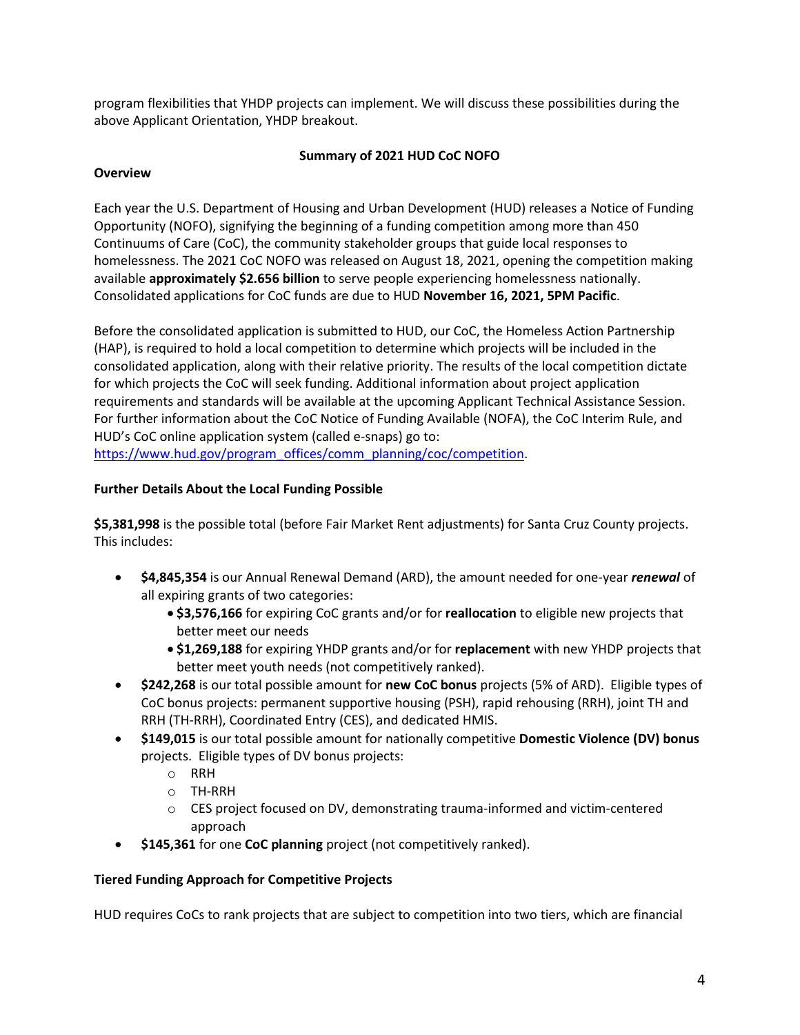program flexibilities that YHDP projects can implement. We will discuss these possibilities during the above Applicant Orientation, YHDP breakout.

### **Summary of 2021 HUD CoC NOFO**

#### **Overview**

Each year the U.S. Department of Housing and Urban Development (HUD) releases a Notice of Funding Opportunity (NOFO), signifying the beginning of a funding competition among more than 450 Continuums of Care (CoC), the community stakeholder groups that guide local responses to homelessness. The 2021 CoC NOFO was released on August 18, 2021, opening the competition making available **approximately \$2.656 billion** to serve people experiencing homelessness nationally. Consolidated applications for CoC funds are due to HUD **November 16, 2021, 5PM Pacific**.

Before the consolidated application is submitted to HUD, our CoC, the Homeless Action Partnership (HAP), is required to hold a local competition to determine which projects will be included in the consolidated application, along with their relative priority. The results of the local competition dictate for which projects the CoC will seek funding. Additional information about project application requirements and standards will be available at the upcoming Applicant Technical Assistance Session. For further information about the CoC Notice of Funding Available (NOFA), the CoC Interim Rule, and HUD's CoC online application system (called e-snaps) go to: [https://www.hud.gov/program\\_offices/comm\\_planning/coc/competition.](https://www.hud.gov/program_offices/comm_planning/coc/competition)

# **Further Details About the Local Funding Possible**

**\$5,381,998** is the possible total (before Fair Market Rent adjustments) for Santa Cruz County projects. This includes:

- **\$4,845,354** is our Annual Renewal Demand (ARD), the amount needed for one-year *renewal* of all expiring grants of two categories:
	- **\$3,576,166** for expiring CoC grants and/or for **reallocation** to eligible new projects that better meet our needs
	- **\$1,269,188** for expiring YHDP grants and/or for **replacement** with new YHDP projects that better meet youth needs (not competitively ranked).
- **\$242,268** is our total possible amount for **new CoC bonus** projects (5% of ARD). Eligible types of CoC bonus projects: permanent supportive housing (PSH), rapid rehousing (RRH), joint TH and RRH (TH-RRH), Coordinated Entry (CES), and dedicated HMIS.
- **\$149,015** is our total possible amount for nationally competitive **Domestic Violence (DV) bonus** projects. Eligible types of DV bonus projects:
	- o RRH
	- o TH-RRH
	- o CES project focused on DV, demonstrating trauma-informed and victim-centered approach
- **\$145,361** for one **CoC planning** project (not competitively ranked).

# **Tiered Funding Approach for Competitive Projects**

HUD requires CoCs to rank projects that are subject to competition into two tiers, which are financial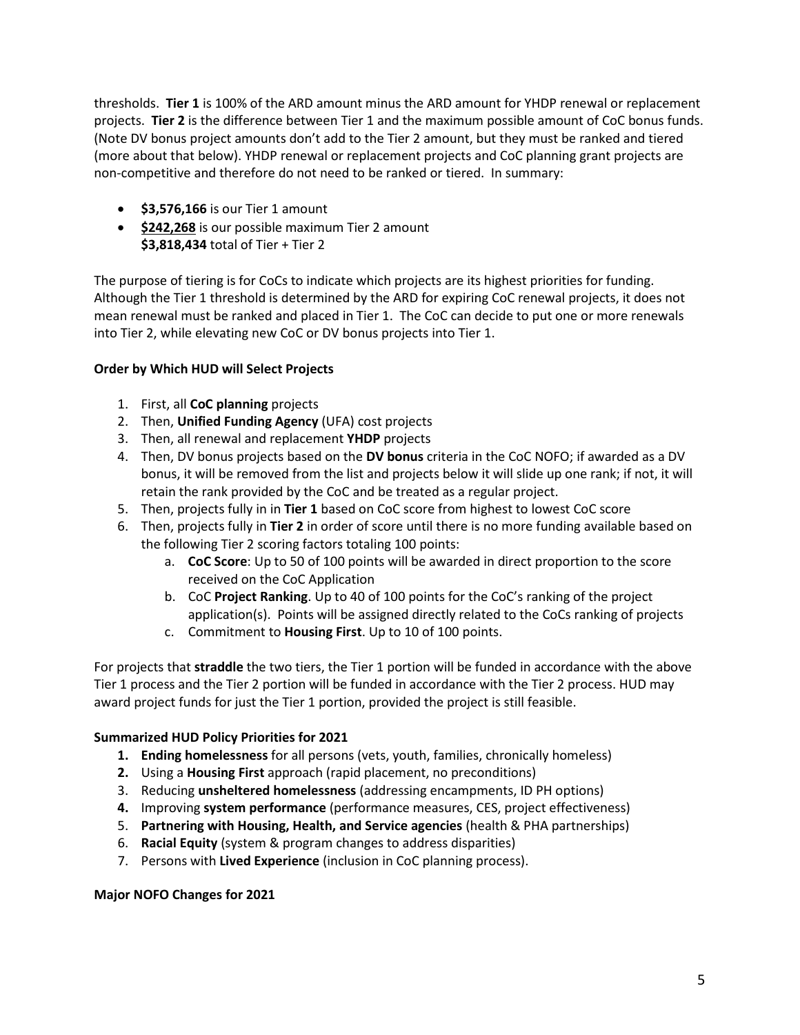thresholds. **Tier 1** is 100% of the ARD amount minus the ARD amount for YHDP renewal or replacement projects. **Tier 2** is the difference between Tier 1 and the maximum possible amount of CoC bonus funds. (Note DV bonus project amounts don't add to the Tier 2 amount, but they must be ranked and tiered (more about that below). YHDP renewal or replacement projects and CoC planning grant projects are non-competitive and therefore do not need to be ranked or tiered. In summary:

- **\$3,576,166** is our Tier 1 amount
- **\$242,268** is our possible maximum Tier 2 amount **\$3,818,434** total of Tier + Tier 2

The purpose of tiering is for CoCs to indicate which projects are its highest priorities for funding. Although the Tier 1 threshold is determined by the ARD for expiring CoC renewal projects, it does not mean renewal must be ranked and placed in Tier 1. The CoC can decide to put one or more renewals into Tier 2, while elevating new CoC or DV bonus projects into Tier 1.

# **Order by Which HUD will Select Projects**

- 1. First, all **CoC planning** projects
- 2. Then, **Unified Funding Agency** (UFA) cost projects
- 3. Then, all renewal and replacement **YHDP** projects
- 4. Then, DV bonus projects based on the **DV bonus** criteria in the CoC NOFO; if awarded as a DV bonus, it will be removed from the list and projects below it will slide up one rank; if not, it will retain the rank provided by the CoC and be treated as a regular project.
- 5. Then, projects fully in in **Tier 1** based on CoC score from highest to lowest CoC score
- 6. Then, projects fully in **Tier 2** in order of score until there is no more funding available based on the following Tier 2 scoring factors totaling 100 points:
	- a. **CoC Score**: Up to 50 of 100 points will be awarded in direct proportion to the score received on the CoC Application
	- b. CoC **Project Ranking**. Up to 40 of 100 points for the CoC's ranking of the project application(s). Points will be assigned directly related to the CoCs ranking of projects
	- c. Commitment to **Housing First**. Up to 10 of 100 points.

For projects that **straddle** the two tiers, the Tier 1 portion will be funded in accordance with the above Tier 1 process and the Tier 2 portion will be funded in accordance with the Tier 2 process. HUD may award project funds for just the Tier 1 portion, provided the project is still feasible.

# **Summarized HUD Policy Priorities for 2021**

- **1. Ending homelessness** for all persons (vets, youth, families, chronically homeless)
- **2.** Using a **Housing First** approach (rapid placement, no preconditions)
- 3. Reducing **unsheltered homelessness** (addressing encampments, ID PH options)
- **4.** Improving **system performance** (performance measures, CES, project effectiveness)
- 5. **Partnering with Housing, Health, and Service agencies** (health & PHA partnerships)
- 6. **Racial Equity** (system & program changes to address disparities)
- 7. Persons with **Lived Experience** (inclusion in CoC planning process).

#### **Major NOFO Changes for 2021**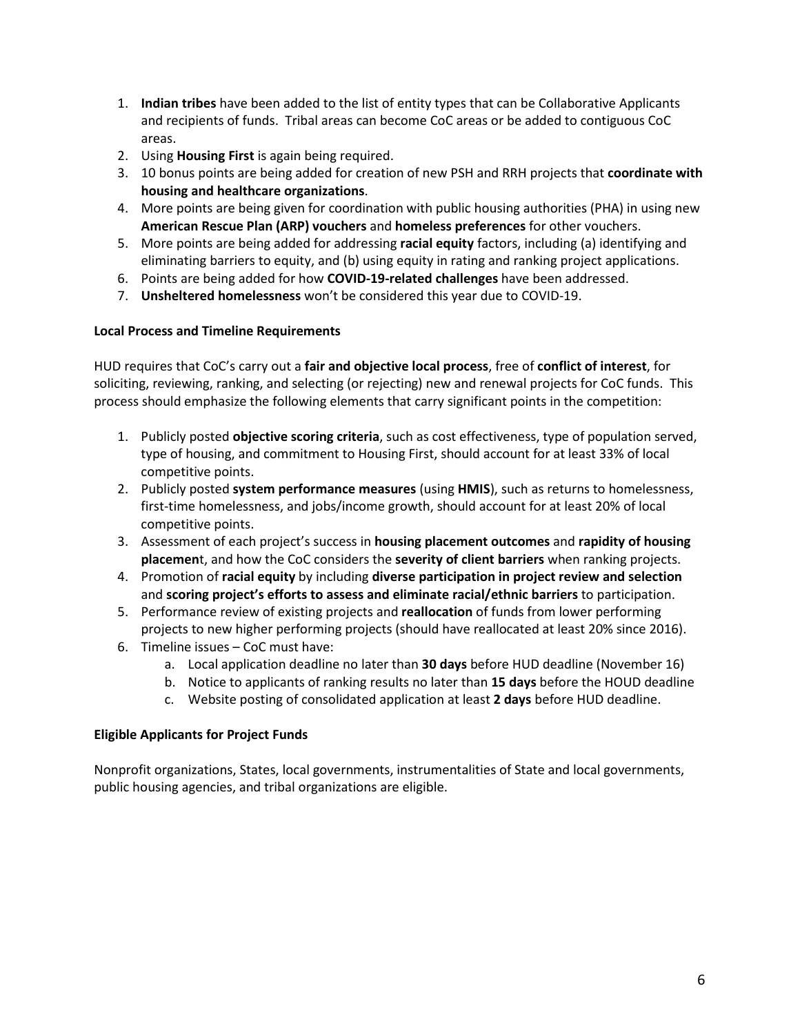- 1. **Indian tribes** have been added to the list of entity types that can be Collaborative Applicants and recipients of funds. Tribal areas can become CoC areas or be added to contiguous CoC areas.
- 2. Using **Housing First** is again being required.
- 3. 10 bonus points are being added for creation of new PSH and RRH projects that **coordinate with housing and healthcare organizations**.
- 4. More points are being given for coordination with public housing authorities (PHA) in using new **American Rescue Plan (ARP) vouchers** and **homeless preferences** for other vouchers.
- 5. More points are being added for addressing **racial equity** factors, including (a) identifying and eliminating barriers to equity, and (b) using equity in rating and ranking project applications.
- 6. Points are being added for how **COVID-19-related challenges** have been addressed.
- 7. **Unsheltered homelessness** won't be considered this year due to COVID-19.

#### **Local Process and Timeline Requirements**

HUD requires that CoC's carry out a **fair and objective local process**, free of **conflict of interest**, for soliciting, reviewing, ranking, and selecting (or rejecting) new and renewal projects for CoC funds. This process should emphasize the following elements that carry significant points in the competition:

- 1. Publicly posted **objective scoring criteria**, such as cost effectiveness, type of population served, type of housing, and commitment to Housing First, should account for at least 33% of local competitive points.
- 2. Publicly posted **system performance measures** (using **HMIS**), such as returns to homelessness, first-time homelessness, and jobs/income growth, should account for at least 20% of local competitive points.
- 3. Assessment of each project's success in **housing placement outcomes** and **rapidity of housing placemen**t, and how the CoC considers the **severity of client barriers** when ranking projects.
- 4. Promotion of **racial equity** by including **diverse participation in project review and selection** and **scoring project's efforts to assess and eliminate racial/ethnic barriers** to participation.
- 5. Performance review of existing projects and **reallocation** of funds from lower performing projects to new higher performing projects (should have reallocated at least 20% since 2016).
- 6. Timeline issues CoC must have:
	- a. Local application deadline no later than **30 days** before HUD deadline (November 16)
	- b. Notice to applicants of ranking results no later than **15 days** before the HOUD deadline
	- c. Website posting of consolidated application at least **2 days** before HUD deadline.

#### **Eligible Applicants for Project Funds**

Nonprofit organizations, States, local governments, instrumentalities of State and local governments, public housing agencies, and tribal organizations are eligible.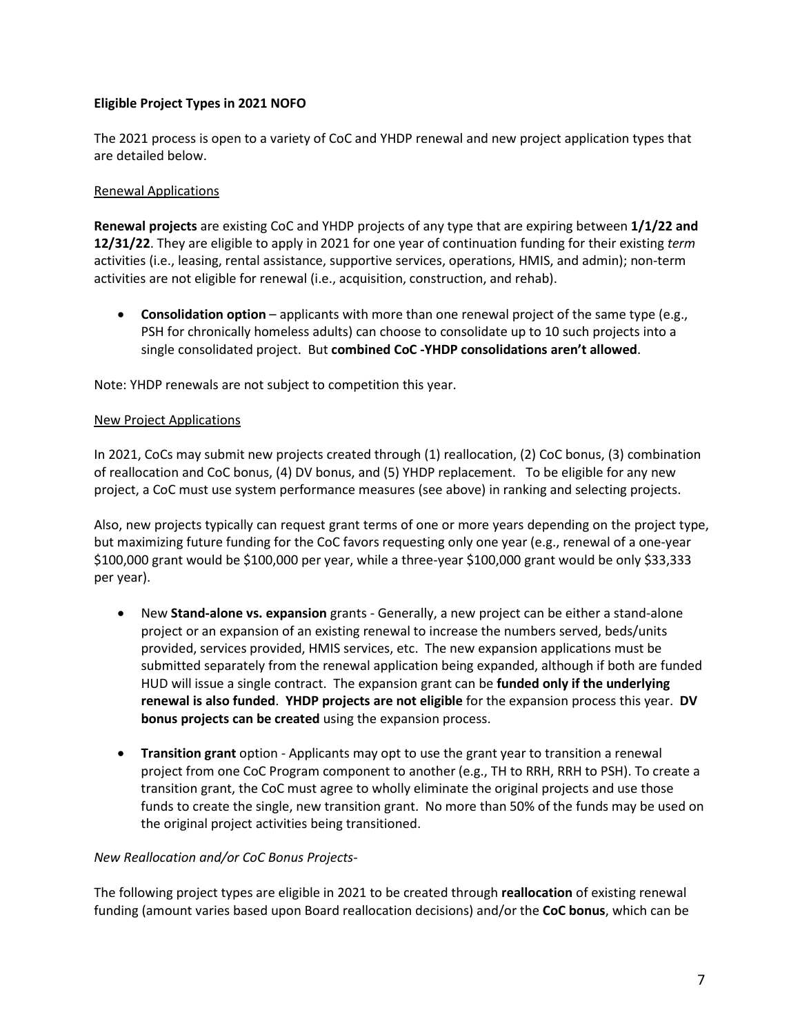# **Eligible Project Types in 2021 NOFO**

The 2021 process is open to a variety of CoC and YHDP renewal and new project application types that are detailed below.

#### Renewal Applications

**Renewal projects** are existing CoC and YHDP projects of any type that are expiring between **1/1/22 and 12/31/22**. They are eligible to apply in 2021 for one year of continuation funding for their existing *term* activities (i.e., leasing, rental assistance, supportive services, operations, HMIS, and admin); non-term activities are not eligible for renewal (i.e., acquisition, construction, and rehab).

• **Consolidation option** – applicants with more than one renewal project of the same type (e.g., PSH for chronically homeless adults) can choose to consolidate up to 10 such projects into a single consolidated project. But **combined CoC -YHDP consolidations aren't allowed**.

Note: YHDP renewals are not subject to competition this year.

#### New Project Applications

In 2021, CoCs may submit new projects created through (1) reallocation, (2) CoC bonus, (3) combination of reallocation and CoC bonus, (4) DV bonus, and (5) YHDP replacement. To be eligible for any new project, a CoC must use system performance measures (see above) in ranking and selecting projects.

Also, new projects typically can request grant terms of one or more years depending on the project type, but maximizing future funding for the CoC favors requesting only one year (e.g., renewal of a one-year \$100,000 grant would be \$100,000 per year, while a three-year \$100,000 grant would be only \$33,333 per year).

- New **Stand-alone vs. expansion** grants Generally, a new project can be either a stand-alone project or an expansion of an existing renewal to increase the numbers served, beds/units provided, services provided, HMIS services, etc. The new expansion applications must be submitted separately from the renewal application being expanded, although if both are funded HUD will issue a single contract. The expansion grant can be **funded only if the underlying renewal is also funded**. **YHDP projects are not eligible** for the expansion process this year. **DV bonus projects can be created** using the expansion process.
- **Transition grant** option Applicants may opt to use the grant year to transition a renewal project from one CoC Program component to another (e.g., TH to RRH, RRH to PSH). To create a transition grant, the CoC must agree to wholly eliminate the original projects and use those funds to create the single, new transition grant. No more than 50% of the funds may be used on the original project activities being transitioned.

#### *New Reallocation and/or CoC Bonus Projects-*

The following project types are eligible in 2021 to be created through **reallocation** of existing renewal funding (amount varies based upon Board reallocation decisions) and/or the **CoC bonus**, which can be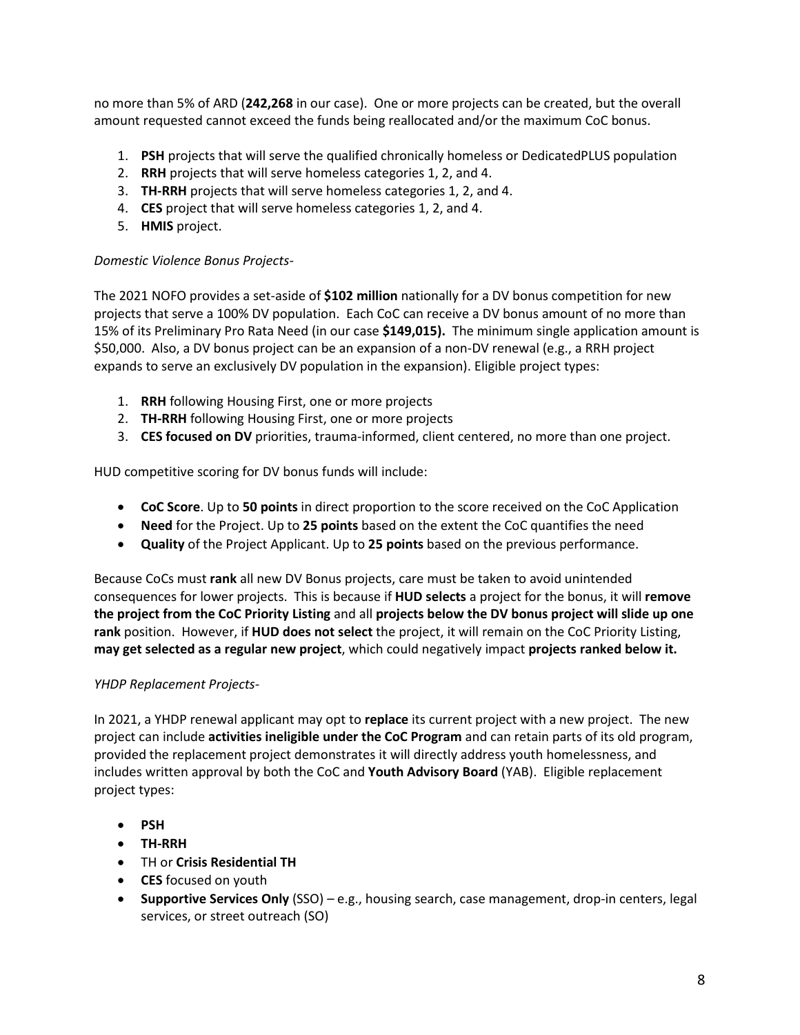no more than 5% of ARD (**242,268** in our case). One or more projects can be created, but the overall amount requested cannot exceed the funds being reallocated and/or the maximum CoC bonus.

- 1. **PSH** projects that will serve the qualified chronically homeless or DedicatedPLUS population
- 2. **RRH** projects that will serve homeless categories 1, 2, and 4.
- 3. **TH-RRH** projects that will serve homeless categories 1, 2, and 4.
- 4. **CES** project that will serve homeless categories 1, 2, and 4.
- 5. **HMIS** project.

#### *Domestic Violence Bonus Projects-*

The 2021 NOFO provides a set-aside of **\$102 million** nationally for a DV bonus competition for new projects that serve a 100% DV population. Each CoC can receive a DV bonus amount of no more than 15% of its Preliminary Pro Rata Need (in our case **\$149,015).** The minimum single application amount is \$50,000.Also, a DV bonus project can be an expansion of a non-DV renewal (e.g., a RRH project expands to serve an exclusively DV population in the expansion). Eligible project types:

- 1. **RRH** following Housing First, one or more projects
- 2. **TH-RRH** following Housing First, one or more projects
- 3. **CES focused on DV** priorities, trauma-informed, client centered, no more than one project.

HUD competitive scoring for DV bonus funds will include:

- **CoC Score**. Up to **50 points** in direct proportion to the score received on the CoC Application
- **Need** for the Project. Up to **25 points** based on the extent the CoC quantifies the need
- **Quality** of the Project Applicant. Up to **25 points** based on the previous performance.

Because CoCs must **rank** all new DV Bonus projects, care must be taken to avoid unintended consequences for lower projects. This is because if **HUD selects** a project for the bonus, it will **remove the project from the CoC Priority Listing** and all **projects below the DV bonus project will slide up one rank** position. However, if **HUD does not select** the project, it will remain on the CoC Priority Listing, **may get selected as a regular new project**, which could negatively impact **projects ranked below it.**

#### *YHDP Replacement Projects-*

In 2021, a YHDP renewal applicant may opt to **replace** its current project with a new project. The new project can include **activities ineligible under the CoC Program** and can retain parts of its old program, provided the replacement project demonstrates it will directly address youth homelessness, and includes written approval by both the CoC and **Youth Advisory Board** (YAB). Eligible replacement project types:

- **PSH**
- **TH-RRH**
- TH or **Crisis Residential TH**
- **CES** focused on youth
- **Supportive Services Only** (SSO) e.g., housing search, case management, drop-in centers, legal services, or street outreach (SO)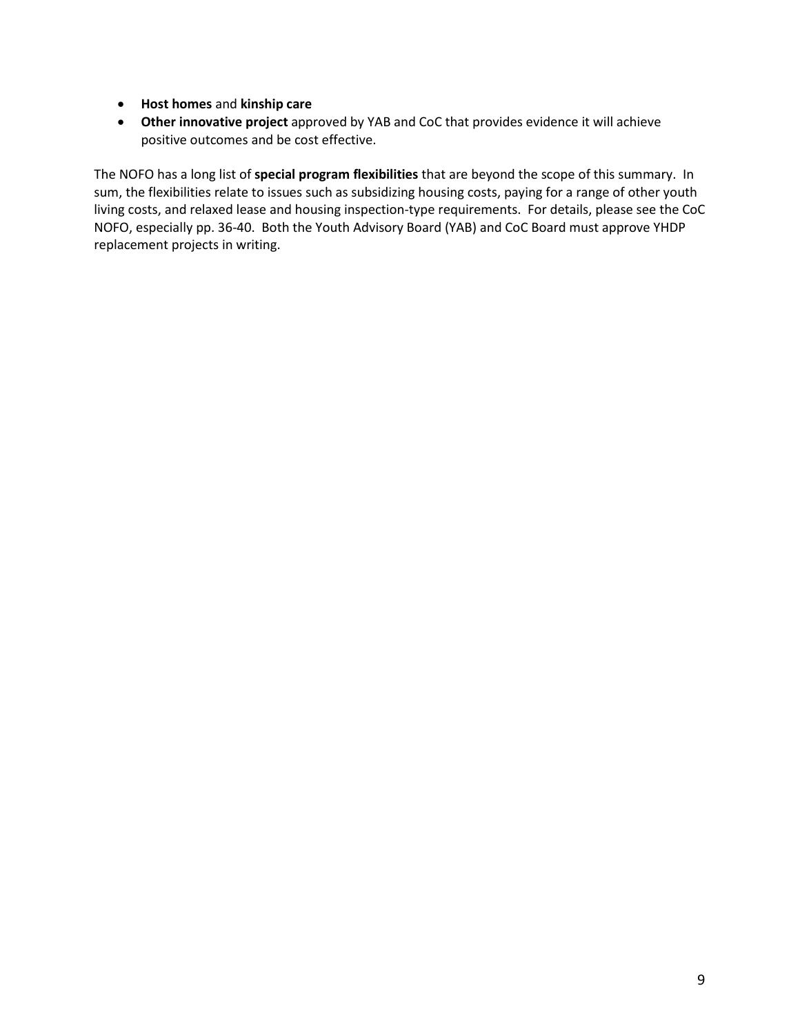- **Host homes** and **kinship care**
- **Other innovative project** approved by YAB and CoC that provides evidence it will achieve positive outcomes and be cost effective.

The NOFO has a long list of **special program flexibilities** that are beyond the scope of this summary. In sum, the flexibilities relate to issues such as subsidizing housing costs, paying for a range of other youth living costs, and relaxed lease and housing inspection-type requirements. For details, please see the CoC NOFO, especially pp. 36-40. Both the Youth Advisory Board (YAB) and CoC Board must approve YHDP replacement projects in writing.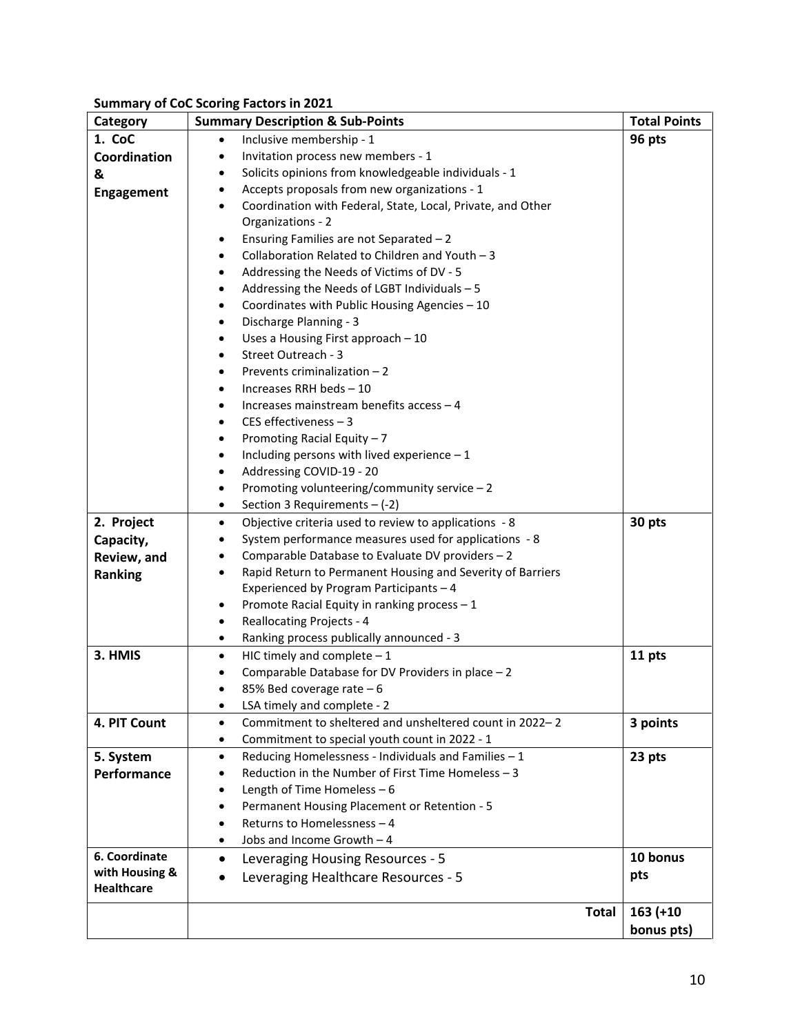# **Summary of CoC Scoring Factors in 2021**

| Category                            | <b>Summary Description &amp; Sub-Points</b>                                                           | <b>Total Points</b> |
|-------------------------------------|-------------------------------------------------------------------------------------------------------|---------------------|
| 1. CoC                              | Inclusive membership - 1<br>$\bullet$                                                                 | 96 pts              |
| Coordination                        | Invitation process new members - 1<br>٠                                                               |                     |
| &                                   | Solicits opinions from knowledgeable individuals - 1<br>٠                                             |                     |
| <b>Engagement</b>                   | Accepts proposals from new organizations - 1<br>٠                                                     |                     |
|                                     | Coordination with Federal, State, Local, Private, and Other<br>$\bullet$                              |                     |
|                                     | Organizations - 2                                                                                     |                     |
|                                     | Ensuring Families are not Separated - 2<br>٠                                                          |                     |
|                                     | Collaboration Related to Children and Youth - 3<br>$\bullet$                                          |                     |
|                                     | Addressing the Needs of Victims of DV - 5<br>$\bullet$                                                |                     |
|                                     | Addressing the Needs of LGBT Individuals - 5<br>$\bullet$                                             |                     |
|                                     | Coordinates with Public Housing Agencies - 10<br>$\bullet$                                            |                     |
|                                     | Discharge Planning - 3<br>$\bullet$                                                                   |                     |
|                                     | Uses a Housing First approach - 10<br>٠                                                               |                     |
|                                     | Street Outreach - 3<br>$\bullet$                                                                      |                     |
|                                     | Prevents criminalization $-2$<br>٠                                                                    |                     |
|                                     | Increases RRH beds - 10<br>$\bullet$                                                                  |                     |
|                                     | Increases mainstream benefits access - 4<br>$\bullet$                                                 |                     |
|                                     | CES effectiveness $-3$<br>$\bullet$                                                                   |                     |
|                                     | Promoting Racial Equity - 7<br>$\bullet$                                                              |                     |
|                                     | Including persons with lived experience $-1$<br>$\bullet$<br>Addressing COVID-19 - 20                 |                     |
|                                     | ٠<br>Promoting volunteering/community service $-2$                                                    |                     |
|                                     | $\bullet$<br>٠                                                                                        |                     |
| 2. Project                          | Section 3 Requirements $-$ (-2)<br>Objective criteria used to review to applications - 8<br>$\bullet$ | 30 pts              |
| Capacity,                           | System performance measures used for applications - 8<br>٠                                            |                     |
| Review, and                         | Comparable Database to Evaluate DV providers - 2<br>$\bullet$                                         |                     |
| Ranking                             | Rapid Return to Permanent Housing and Severity of Barriers<br>$\bullet$                               |                     |
|                                     | Experienced by Program Participants - 4                                                               |                     |
|                                     | Promote Racial Equity in ranking process - 1<br>٠                                                     |                     |
|                                     | <b>Reallocating Projects - 4</b><br>$\bullet$                                                         |                     |
|                                     | Ranking process publically announced - 3<br>٠                                                         |                     |
| 3. HMIS                             | HIC timely and complete $-1$<br>$\bullet$                                                             | 11 pts              |
|                                     | Comparable Database for DV Providers in place - 2<br>٠                                                |                     |
|                                     | 85% Bed coverage rate - 6<br>$\bullet$                                                                |                     |
|                                     | LSA timely and complete - 2<br>$\bullet$                                                              |                     |
| 4. PIT Count                        | Commitment to sheltered and unsheltered count in 2022-2<br>$\bullet$                                  | 3 points            |
|                                     | Commitment to special youth count in 2022 - 1<br>$\bullet$                                            |                     |
| 5. System                           | Reducing Homelessness - Individuals and Families - 1<br>$\bullet$                                     | 23 pts              |
| Performance                         | Reduction in the Number of First Time Homeless - 3<br>$\bullet$                                       |                     |
|                                     | Length of Time Homeless - 6<br>$\bullet$                                                              |                     |
|                                     | Permanent Housing Placement or Retention - 5<br>$\bullet$                                             |                     |
|                                     | Returns to Homelessness-4<br>$\bullet$                                                                |                     |
|                                     | Jobs and Income Growth - 4<br>$\bullet$                                                               |                     |
| 6. Coordinate                       | Leveraging Housing Resources - 5<br>$\bullet$                                                         | 10 bonus            |
| with Housing &<br><b>Healthcare</b> | Leveraging Healthcare Resources - 5<br>$\bullet$                                                      | pts                 |
|                                     |                                                                                                       |                     |
|                                     | <b>Total</b>                                                                                          | $163 (+10)$         |
|                                     |                                                                                                       | bonus pts)          |